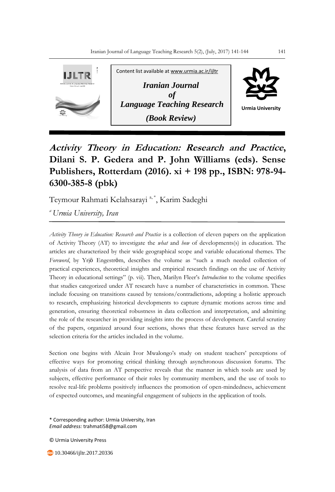

## **Activity Theory in Education: Research and Practice, Dilani S. P. Gedera and P. John Williams (eds). Sense Publishers, Rotterdam (2016). xi + 198 pp., ISBN: 978-94- 6300-385-8 (pbk)**

Teymour Rahmati Kelahsarayi<sup>a,\*</sup>, Karim Sadeghi

*<sup>a</sup>Urmia University, Iran*

*Activity Theory in Education: Research and Practice* is a collection of eleven papers on the application of Activity Theory (AT) to investigate the *what* and *how* of developments(s) in education. The articles are characterized by their wide geographical scope and variable educational themes. The *Foreword*, by Yrjö Engeström, describes the volume as "such a much needed collection of practical experiences, theoretical insights and empirical research findings on the use of Activity Theory in educational settings" (p. vii). Then, Marilyn Fleer's *Introduction* to the volume specifies that studies categorized under AT research have a number of characteristics in common. These include focusing on transitions caused by tensions/contradictions, adopting a holistic approach to research, emphasizing historical developments to capture dynamic motions across time and generation, ensuring theoretical robustness in data collection and interpretation, and admitting the role of the researcher in providing insights into the process of development. Careful scrutiny of the papers, organized around four sections, shows that these features have served as the selection criteria for the articles included in the volume.

Section one begins with Alcuin Ivor Mwalongo's study on student teachers' perceptions of effective ways for promoting critical thinking through asynchronous discussion forums. The analysis of data from an AT perspective reveals that the manner in which tools are used by subjects, effective performance of their roles by community members, and the use of tools to resolve real-life problems positively influences the promotion of open-mindedness, achievement of expected outcomes, and meaningful engagement of subjects in the application of tools.

\* Corresponding author: Urmia University, Iran *Email address:* trahmati58@gmail.com

© Urmia University Press

10.30466/ijltr.2017.20336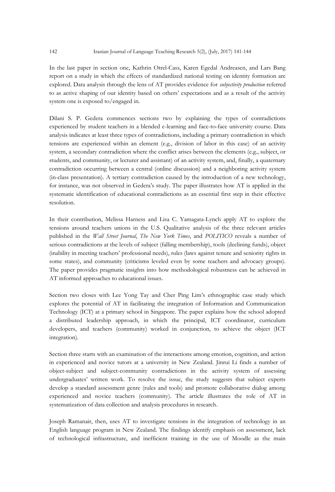In the last paper in section one, Kathrin Otrel-Cass, Karen Egedal Andreasen, and Lars Bang report on a study in which the effects of standardized national testing on identity formation are explored. Data analysis through the lens of AT provides evidence for *subjectivity production* referred to as active shaping of our identity based on others' expectations and as a result of the activity system one is exposed to/engaged in.

Dilani S. P. Gedera commences sections two by explaining the types of contradictions experienced by student teachers in a blended e-learning and face-to-face university course. Data analysis indicates at least three types of contradictions, including a primary contradiction in which tensions are experienced within an element (e.g., division of labor in this case) of an activity system, a secondary contradiction where the conflict arises between the elements (e.g., subject, or students, and community, or lecturer and assistant) of an activity system, and, finally, a quaternary contradiction occurring between a central (online discussion) and a neighboring activity system (in-class presentation). A tertiary contradiction caused by the introduction of a new technology, for instance, was not observed in Gedera's study. The paper illustrates how AT is applied in the systematic identification of educational contradictions as an essential first step in their effective resolution.

In their contribution, Melissa Harness and Lisa C. Yamagata-Lynch apply AT to explore the tensions around teachers unions in the U.S. Qualitative analysis of the three relevant articles published in the *Wall Street Journal*, *The New York Times*, and *POLITICO* reveals a number of serious contradictions at the levels of subject (falling membership), tools (declining funds), object (inability in meeting teachers' professional needs), rules (laws against tenure and seniority rights in some states), and community (criticisms leveled even by some teachers and advocacy groups). The paper provides pragmatic insights into how methodological robustness can be achieved in AT informed approaches to educational issues.

Section two closes with Lee Yong Tay and Cher Ping Lim's ethnographic case study which explores the potential of AT in facilitating the integration of Information and Communication Technology (ICT) at a primary school in Singapore. The paper explains how the school adopted a distributed leadership approach, in which the principal, ICT coordinator, curriculum developers, and teachers (community) worked in conjunction, to achieve the object (ICT integration).

Section three starts with an examination of the interactions among emotion, cognition, and action in experienced and novice tutors at a university in New Zealand. Jinrui Li finds a number of object-subject and subject-community contradictions in the activity system of assessing undergraduates' written work. To resolve the issue, the study suggests that subject experts develop a standard assessment genre (rules and tools) and promote collaborative dialog among experienced and novice teachers (community). The article illustrates the role of AT in systematization of data collection and analysis procedures in research.

Joseph Ramanair, then, uses AT to investigate tensions in the integration of technology in an English language program in New Zealand. The findings identify emphasis on assessment, lack of technological infrastructure, and inefficient training in the use of Moodle as the main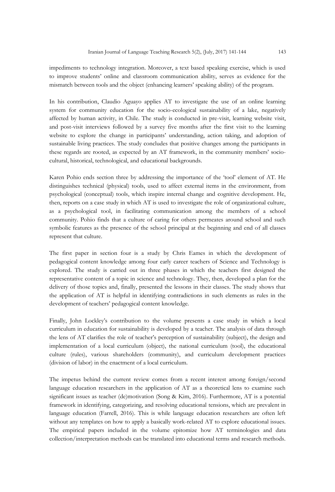impediments to technology integration. Moreover, a text based speaking exercise, which is used to improve students' online and classroom communication ability, serves as evidence for the mismatch between tools and the object (enhancing learners' speaking ability) of the program.

In his contribution, Claudio Aguayo applies AT to investigate the use of an online learning system for community education for the socio-ecological sustainability of a lake, negatively affected by human activity, in Chile. The study is conducted in pre-visit, learning website visit, and post-visit interviews followed by a survey five months after the first visit to the learning website to explore the change in participants' understanding, action taking, and adoption of sustainable living practices. The study concludes that positive changes among the participants in these regards are rooted, as expected by an AT framework, in the community members' sociocultural, historical, technological, and educational backgrounds.

Karen Pohio ends section three by addressing the importance of the 'tool' element of AT. He distinguishes technical (physical) tools, used to affect external items in the environment, from psychological (conceptual) tools, which inspire internal change and cognitive development. He, then, reports on a case study in which AT is used to investigate the role of organizational culture, as a psychological tool, in facilitating communication among the members of a school community. Pohio finds that a culture of caring for others permeates around school and such symbolic features as the presence of the school principal at the beginning and end of all classes represent that culture.

The first paper in section four is a study by Chris Eames in which the development of pedagogical content knowledge among four early career teachers of Science and Technology is explored. The study is carried out in three phases in which the teachers first designed the representative content of a topic in science and technology. They, then, developed a plan for the delivery of those topics and, finally, presented the lessons in their classes. The study shows that the application of AT is helpful in identifying contradictions in such elements as rules in the development of teachers' pedagogical content knowledge.

Finally, John Lockley's contribution to the volume presents a case study in which a local curriculum in education for sustainability is developed by a teacher. The analysis of data through the lens of AT clarifies the role of teacher's perception of sustainability (subject), the design and implementation of a local curriculum (object), the national curriculum (tool), the educational culture (rules), various shareholders (community), and curriculum development practices (division of labor) in the enactment of a local curriculum.

The impetus behind the current review comes from a recent interest among foreign/second language education researchers in the application of AT as a theoretical lens to examine such significant issues as teacher (de)motivation (Song & Kim, 2016). Furthermore, AT is a potential framework in identifying, categorizing, and resolving educational tensions, which are prevalent in language education (Farrell, 2016). This is while language education researchers are often left without any templates on how to apply a basically work-related AT to explore educational issues. The empirical papers included in the volume epitomize how AT terminologies and data collection/interpretation methods can be translated into educational terms and research methods.